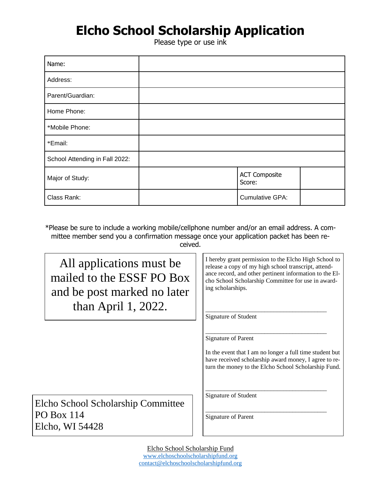## **Elcho School Scholarship Application**

Please type or use ink

| Name:                          |                                |  |
|--------------------------------|--------------------------------|--|
| Address:                       |                                |  |
| Parent/Guardian:               |                                |  |
| Home Phone:                    |                                |  |
| *Mobile Phone:                 |                                |  |
| *Email:                        |                                |  |
| School Attending in Fall 2022: |                                |  |
| Major of Study:                | <b>ACT Composite</b><br>Score: |  |
| Class Rank:                    | Cumulative GPA:                |  |

\*Please be sure to include a working mobile/cellphone number and/or an email address. A committee member send you a confirmation message once your application packet has been received.

All applications must be mailed to the ESSF PO Box and be post marked no later than April 1, 2022.

Elcho School Scholarship Committee PO Box 114 Elcho, WI 54428

I hereby grant permission to the Elcho High School to release a copy of my high school transcript, attendance record, and other pertinent information to the Elcho School Scholarship Committee for use in awarding scholarships.

\_\_\_\_\_\_\_\_\_\_\_\_\_\_\_\_\_\_\_\_\_\_\_\_\_\_\_\_\_\_\_\_\_\_\_\_\_\_\_

\_\_\_\_\_\_\_\_\_\_\_\_\_\_\_\_\_\_\_\_\_\_\_\_\_\_\_\_\_\_\_\_\_\_\_\_\_\_\_

\_\_\_\_\_\_\_\_\_\_\_\_\_\_\_\_\_\_\_\_\_\_\_\_\_\_\_\_\_\_\_\_\_\_\_\_\_\_\_

Signature of Student

Signature of Parent

In the event that I am no longer a full time student but have received scholarship award money, I agree to return the money to the Elcho School Scholarship Fund.

\_\_\_\_\_\_\_\_\_\_\_\_\_\_\_\_\_\_\_\_\_\_\_\_\_\_\_\_\_\_\_\_\_\_\_\_\_\_\_ Signature of Student

Signature of Parent

Elcho School Scholarship Fund [www.elchoschoolscholarshipfund.org](http://www.elchoschoolscholarshipfund.org/) [contact@elchoschoolscholarshipfund.org](mailto:contact@elchoschoolscholarshipfund.org)